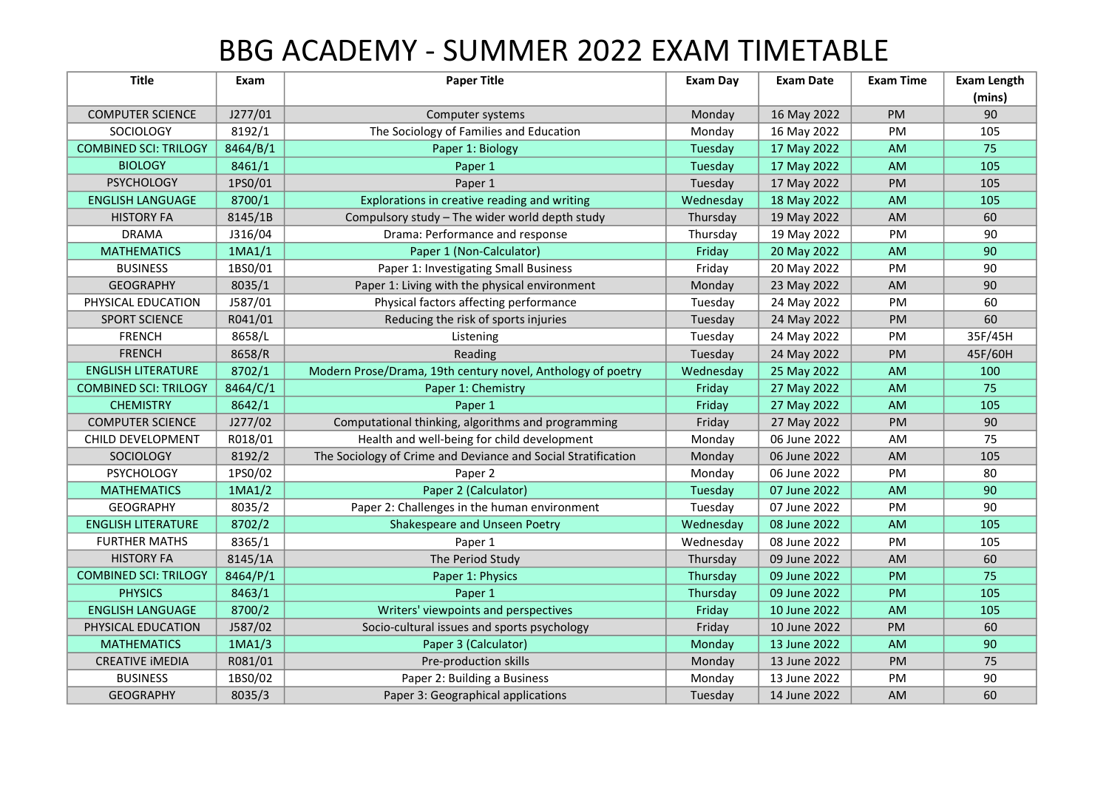## BBG ACADEMY - SUMMER 2022 EXAM TIMETABLE

| <b>Title</b>                 | Exam     | <b>Paper Title</b>                                            | <b>Exam Day</b> | <b>Exam Date</b> | <b>Exam Time</b> | <b>Exam Length</b> |
|------------------------------|----------|---------------------------------------------------------------|-----------------|------------------|------------------|--------------------|
|                              |          |                                                               |                 |                  |                  | (mins)             |
| <b>COMPUTER SCIENCE</b>      | J277/01  | Computer systems                                              | Monday          | 16 May 2022      | PM               | 90                 |
| SOCIOLOGY                    | 8192/1   | The Sociology of Families and Education                       | Monday          | 16 May 2022      | <b>PM</b>        | 105                |
| <b>COMBINED SCI: TRILOGY</b> | 8464/B/1 | Paper 1: Biology                                              | Tuesday         | 17 May 2022      | AM               | 75                 |
| <b>BIOLOGY</b>               | 8461/1   | Paper 1                                                       | Tuesday         | 17 May 2022      | <b>AM</b>        | 105                |
| <b>PSYCHOLOGY</b>            | 1PS0/01  | Paper 1                                                       | Tuesday         | 17 May 2022      | <b>PM</b>        | 105                |
| <b>ENGLISH LANGUAGE</b>      | 8700/1   | Explorations in creative reading and writing                  | Wednesday       | 18 May 2022      | <b>AM</b>        | 105                |
| <b>HISTORY FA</b>            | 8145/1B  | Compulsory study - The wider world depth study                | Thursday        | 19 May 2022      | AM               | 60                 |
| <b>DRAMA</b>                 | J316/04  | Drama: Performance and response                               | Thursday        | 19 May 2022      | PM               | 90                 |
| <b>MATHEMATICS</b>           | 1MA1/1   | Paper 1 (Non-Calculator)                                      | Friday          | 20 May 2022      | <b>AM</b>        | 90                 |
| <b>BUSINESS</b>              | 1BS0/01  | Paper 1: Investigating Small Business                         | Friday          | 20 May 2022      | <b>PM</b>        | 90                 |
| <b>GEOGRAPHY</b>             | 8035/1   | Paper 1: Living with the physical environment                 | Monday          | 23 May 2022      | AM               | 90                 |
| PHYSICAL EDUCATION           | J587/01  | Physical factors affecting performance                        | Tuesday         | 24 May 2022      | PM               | 60                 |
| <b>SPORT SCIENCE</b>         | R041/01  | Reducing the risk of sports injuries                          | Tuesday         | 24 May 2022      | <b>PM</b>        | 60                 |
| <b>FRENCH</b>                | 8658/L   | Listening                                                     | Tuesday         | 24 May 2022      | PM               | 35F/45H            |
| <b>FRENCH</b>                | 8658/R   | Reading                                                       | Tuesday         | 24 May 2022      | PM               | 45F/60H            |
| <b>ENGLISH LITERATURE</b>    | 8702/1   | Modern Prose/Drama, 19th century novel, Anthology of poetry   | Wednesday       | 25 May 2022      | AM               | 100                |
| <b>COMBINED SCI: TRILOGY</b> | 8464/C/1 | Paper 1: Chemistry                                            | Friday          | 27 May 2022      | AM               | 75                 |
| <b>CHEMISTRY</b>             | 8642/1   | Paper 1                                                       | Friday          | 27 May 2022      | AM               | 105                |
| <b>COMPUTER SCIENCE</b>      | J277/02  | Computational thinking, algorithms and programming            | Friday          | 27 May 2022      | PM               | 90                 |
| CHILD DEVELOPMENT            | R018/01  | Health and well-being for child development                   | Monday          | 06 June 2022     | AM               | 75                 |
| SOCIOLOGY                    | 8192/2   | The Sociology of Crime and Deviance and Social Stratification | Monday          | 06 June 2022     | AM               | 105                |
| <b>PSYCHOLOGY</b>            | 1PS0/02  | Paper 2                                                       | Monday          | 06 June 2022     | PM               | 80                 |
| <b>MATHEMATICS</b>           | 1MA1/2   | Paper 2 (Calculator)                                          | Tuesday         | 07 June 2022     | AM               | 90                 |
| <b>GEOGRAPHY</b>             | 8035/2   | Paper 2: Challenges in the human environment                  | Tuesday         | 07 June 2022     | <b>PM</b>        | 90                 |
| <b>ENGLISH LITERATURE</b>    | 8702/2   | Shakespeare and Unseen Poetry                                 | Wednesday       | 08 June 2022     | AM               | 105                |
| <b>FURTHER MATHS</b>         | 8365/1   | Paper 1                                                       | Wednesday       | 08 June 2022     | PM               | 105                |
| <b>HISTORY FA</b>            | 8145/1A  | The Period Study                                              | Thursday        | 09 June 2022     | AM               | 60                 |
| <b>COMBINED SCI: TRILOGY</b> | 8464/P/1 | Paper 1: Physics                                              | Thursday        | 09 June 2022     | <b>PM</b>        | 75                 |
| <b>PHYSICS</b>               | 8463/1   | Paper 1                                                       | Thursday        | 09 June 2022     | <b>PM</b>        | 105                |
| <b>ENGLISH LANGUAGE</b>      | 8700/2   | Writers' viewpoints and perspectives                          | Friday          | 10 June 2022     | AM               | 105                |
| PHYSICAL EDUCATION           | J587/02  | Socio-cultural issues and sports psychology                   | Friday          | 10 June 2022     | <b>PM</b>        | 60                 |
| <b>MATHEMATICS</b>           | 1MA1/3   | Paper 3 (Calculator)                                          | Monday          | 13 June 2022     | AM               | 90                 |
| <b>CREATIVE IMEDIA</b>       | R081/01  | Pre-production skills                                         | Monday          | 13 June 2022     | <b>PM</b>        | 75                 |
| <b>BUSINESS</b>              | 1BS0/02  | Paper 2: Building a Business                                  | Monday          | 13 June 2022     | <b>PM</b>        | 90                 |
| <b>GEOGRAPHY</b>             | 8035/3   | Paper 3: Geographical applications                            | Tuesday         | 14 June 2022     | <b>AM</b>        | 60                 |